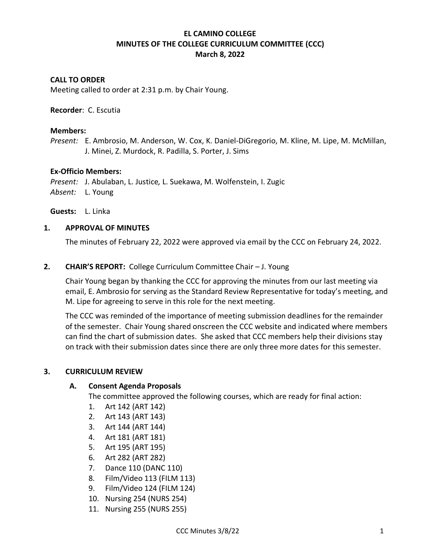# **EL CAMINO COLLEGE MINUTES OF THE COLLEGE CURRICULUM COMMITTEE (CCC) March 8, 2022**

### **CALL TO ORDER**

Meeting called to order at 2:31 p.m. by Chair Young.

#### **Recorder**: C. Escutia

#### **Members:**

*Present:* E. Ambrosio, M. Anderson, W. Cox, K. Daniel-DiGregorio, M. Kline, M. Lipe, M. McMillan, J. Minei, Z. Murdock, R. Padilla, S. Porter, J. Sims

#### **Ex-Officio Members:**

*Present:* J. Abulaban, L. Justice*,* L. Suekawa, M. Wolfenstein, I. Zugic *Absent:* L. Young

**Guests:** L. Linka

#### **1. APPROVAL OF MINUTES**

The minutes of February 22, 2022 were approved via email by the CCC on February 24, 2022.

#### **2. CHAIR'S REPORT:** College Curriculum Committee Chair – J. Young

Chair Young began by thanking the CCC for approving the minutes from our last meeting via email, E. Ambrosio for serving as the Standard Review Representative for today's meeting, and M. Lipe for agreeing to serve in this role for the next meeting.

The CCC was reminded of the importance of meeting submission deadlines for the remainder of the semester. Chair Young shared onscreen the CCC website and indicated where members can find the chart of submission dates. She asked that CCC members help their divisions stay on track with their submission dates since there are only three more dates for this semester.

#### **3. CURRICULUM REVIEW**

### **A. Consent Agenda Proposals**

The committee approved the following courses, which are ready for final action:

- 1. Art 142 (ART 142)
- 2. Art 143 (ART 143)
- 3. Art 144 (ART 144)
- 4. Art 181 (ART 181)
- 5. Art 195 (ART 195)
- 6. Art 282 (ART 282)
- 7. Dance 110 (DANC 110)
- 8. Film/Video 113 (FILM 113)
- 9. Film/Video 124 (FILM 124)
- 10. Nursing 254 (NURS 254)
- 11. Nursing 255 (NURS 255)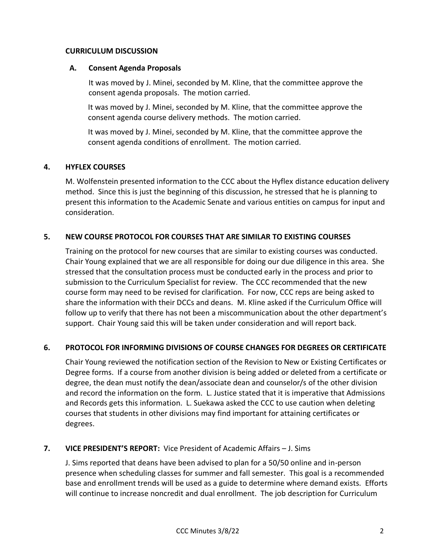#### **CURRICULUM DISCUSSION**

### **A. Consent Agenda Proposals**

It was moved by J. Minei, seconded by M. Kline, that the committee approve the consent agenda proposals. The motion carried.

It was moved by J. Minei, seconded by M. Kline, that the committee approve the consent agenda course delivery methods. The motion carried.

It was moved by J. Minei, seconded by M. Kline, that the committee approve the consent agenda conditions of enrollment. The motion carried.

### **4. HYFLEX COURSES**

M. Wolfenstein presented information to the CCC about the Hyflex distance education delivery method. Since this is just the beginning of this discussion, he stressed that he is planning to present this information to the Academic Senate and various entities on campus for input and consideration.

### **5. NEW COURSE PROTOCOL FOR COURSES THAT ARE SIMILAR TO EXISTING COURSES**

Training on the protocol for new courses that are similar to existing courses was conducted. Chair Young explained that we are all responsible for doing our due diligence in this area. She stressed that the consultation process must be conducted early in the process and prior to submission to the Curriculum Specialist for review. The CCC recommended that the new course form may need to be revised for clarification. For now, CCC reps are being asked to share the information with their DCCs and deans. M. Kline asked if the Curriculum Office will follow up to verify that there has not been a miscommunication about the other department's support. Chair Young said this will be taken under consideration and will report back.

# **6. PROTOCOL FOR INFORMING DIVISIONS OF COURSE CHANGES FOR DEGREES OR CERTIFICATE**

Chair Young reviewed the notification section of the Revision to New or Existing Certificates or Degree forms. If a course from another division is being added or deleted from a certificate or degree, the dean must notify the dean/associate dean and counselor/s of the other division and record the information on the form. L. Justice stated that it is imperative that Admissions and Records gets this information. L. Suekawa asked the CCC to use caution when deleting courses that students in other divisions may find important for attaining certificates or degrees.

# **7. VICE PRESIDENT'S REPORT:** Vice President of Academic Affairs – J. Sims

J. Sims reported that deans have been advised to plan for a 50/50 online and in-person presence when scheduling classes for summer and fall semester. This goal is a recommended base and enrollment trends will be used as a guide to determine where demand exists. Efforts will continue to increase noncredit and dual enrollment. The job description for Curriculum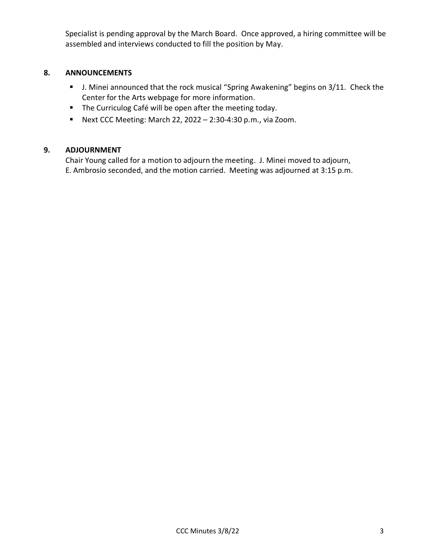Specialist is pending approval by the March Board. Once approved, a hiring committee will be assembled and interviews conducted to fill the position by May.

## **8. ANNOUNCEMENTS**

- J. Minei announced that the rock musical "Spring Awakening" begins on 3/11. Check the Center for the Arts webpage for more information.
- The Curriculog Café will be open after the meeting today.
- Next CCC Meeting: March 22, 2022 2:30-4:30 p.m., via Zoom.

# **9. ADJOURNMENT**

Chair Young called for a motion to adjourn the meeting. J. Minei moved to adjourn, E. Ambrosio seconded, and the motion carried. Meeting was adjourned at 3:15 p.m.